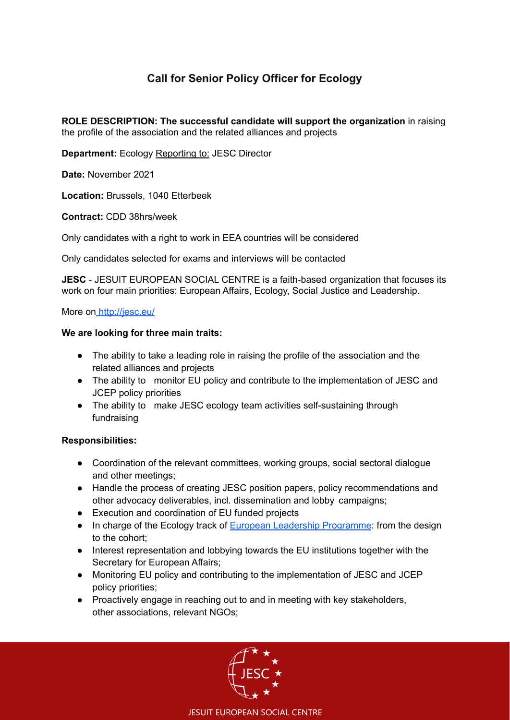# **Call for Senior Policy Officer for Ecology**

**ROLE DESCRIPTION: The successful candidate will support the organization** in raising the profile of the association and the related alliances and projects

**Department:** Ecology Reporting to: JESC Director

**Date:** November 2021

**Location:** Brussels, 1040 Etterbeek

**Contract:** CDD 38hrs/week

Only candidates with a right to work in EEA countries will be considered

Only candidates selected for exams and interviews will be contacted

**JESC** - JESUIT EUROPEAN SOCIAL CENTRE is a faith-based organization that focuses its work on four main priorities: European Affairs, Ecology, Social Justice and Leadership.

More on <http://jesc.eu/>

#### **We are looking for three main traits:**

- The ability to take a leading role in raising the profile of the association and the related alliances and projects
- The ability to monitor EU policy and contribute to the implementation of JESC and JCEP policy priorities
- The ability to make JESC ecology team activities self-sustaining through fundraising

#### **Responsibilities:**

- Coordination of the relevant committees, working groups, social sectoral dialogue and other meetings;
- Handle the process of creating JESC position papers, policy recommendations and other advocacy deliverables, incl. dissemination and lobby campaigns;
- Execution and coordination of EU funded projects
- In charge of the Ecology track of European Leadership [Programme](https://www.jesc-elp.eu/): from the design to the cohort;
- Interest representation and lobbying towards the EU institutions together with the Secretary for European Affairs;
- Monitoring EU policy and contributing to the implementation of JESC and JCEP policy priorities;
- Proactively engage in reaching out to and in meeting with key stakeholders, other associations, relevant NGOs;